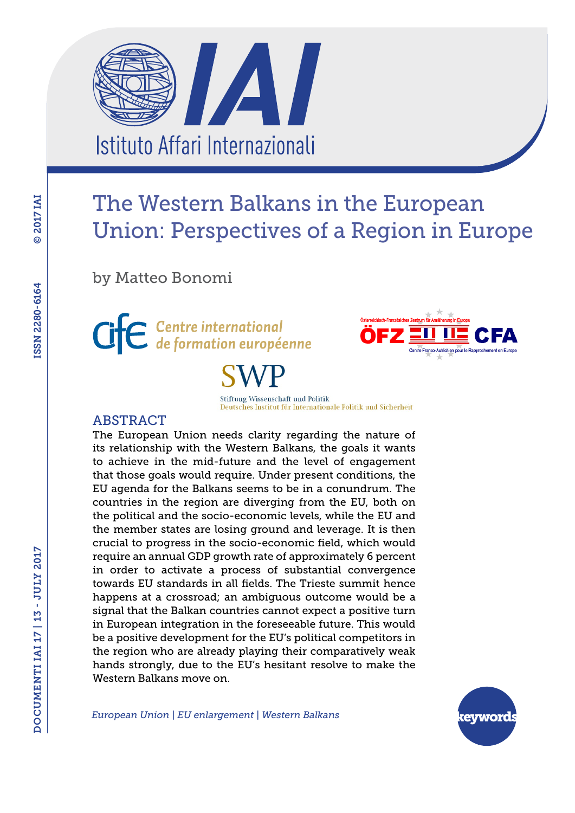A Istituto Affari Internazionali

# The Western Balkans in the European Union: Perspectives of a Region in Europe

by Matteo Bonomi



Stiftung Wissenschaft und Politik Deutsches Institut für Internationale Politik und Sicherheit

## ABSTRACT

The European Union needs clarity regarding the nature of its relationship with the Western Balkans, the goals it wants to achieve in the mid-future and the level of engagement that those goals would require. Under present conditions, the EU agenda for the Balkans seems to be in a conundrum. The countries in the region are diverging from the EU, both on the political and the socio-economic levels, while the EU and the member states are losing ground and leverage. It is then crucial to progress in the socio-economic field, which would require an annual GDP growth rate of approximately 6 percent in order to activate a process of substantial convergence towards EU standards in all fields. The Trieste summit hence happens at a crossroad; an ambiguous outcome would be a signal that the Balkan countries cannot expect a positive turn in European integration in the foreseeable future. This would be a positive development for the EU's political competitors in the region who are already playing their comparatively weak hands strongly, due to the EU's hesitant resolve to make the Western Balkans move on.

*European Union | EU enlargement | Western Balkans*

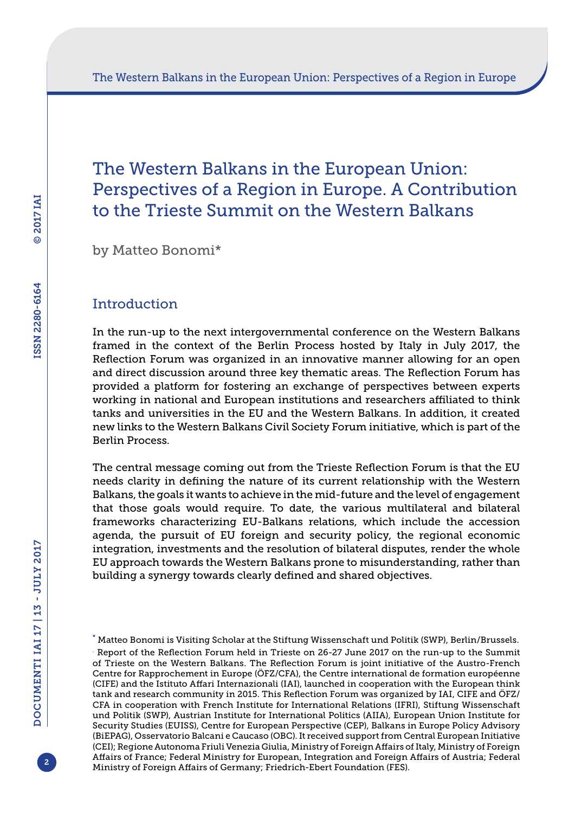# The Western Balkans in the European Union: Perspectives of a Region in Europe. A Contribution to the Trieste Summit on the Western Balkans

by Matteo Bonomi\*

## Introduction

In the run-up to the next intergovernmental conference on the Western Balkans framed in the context of the Berlin Process hosted by Italy in July 2017, the Reflection Forum was organized in an innovative manner allowing for an open and direct discussion around three key thematic areas. The Reflection Forum has provided a platform for fostering an exchange of perspectives between experts working in national and European institutions and researchers affiliated to think tanks and universities in the EU and the Western Balkans. In addition, it created new links to the Western Balkans Civil Society Forum initiative, which is part of the Berlin Process.

The central message coming out from the Trieste Reflection Forum is that the EU needs clarity in defining the nature of its current relationship with the Western Balkans, the goals it wants to achieve in the mid-future and the level of engagement that those goals would require. To date, the various multilateral and bilateral frameworks characterizing EU-Balkans relations, which include the accession agenda, the pursuit of EU foreign and security policy, the regional economic integration, investments and the resolution of bilateral disputes, render the whole EU approach towards the Western Balkans prone to misunderstanding, rather than building a synergy towards clearly defined and shared objectives.



<sup>\*</sup> Matteo Bonomi is Visiting Scholar at the Stiftung Wissenschaft und Politik (SWP), Berlin/Brussels. . Report of the Reflection Forum held in Trieste on 26-27 June 2017 on the run-up to the Summit of Trieste on the Western Balkans. The Reflection Forum is joint initiative of the Austro-French Centre for Rapprochement in Europe (ÖFZ/CFA), the Centre international de formation européenne (CIFE) and the Istituto Affari Internazionali (IAI), launched in cooperation with the European think tank and research community in 2015. This Reflection Forum was organized by IAI, CIFE and ÖFZ/ CFA in cooperation with French Institute for International Relations (IFRI), Stiftung Wissenschaft und Politik (SWP), Austrian Institute for International Politics (AIIA), European Union Institute for Security Studies (EUISS), Centre for European Perspective (CEP), Balkans in Europe Policy Advisory (BiEPAG), Osservatorio Balcani e Caucaso (OBC). It received support from Central European Initiative (CEI); Regione Autonoma Friuli Venezia Giulia, Ministry of Foreign Affairs of Italy, Ministry of Foreign Affairs of France; Federal Ministry for European, Integration and Foreign Affairs of Austria; Federal Ministry of Foreign Affairs of Germany; Friedrich-Ebert Foundation (FES).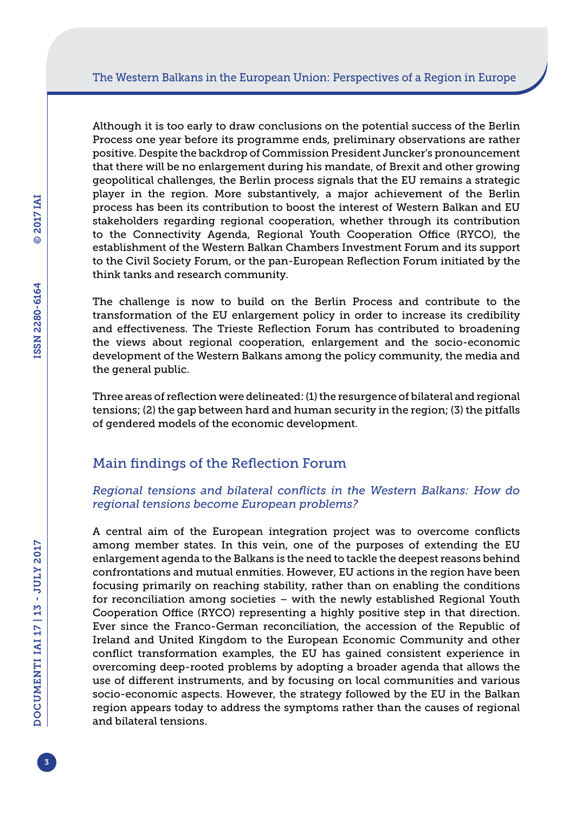Although it is too early to draw conclusions on the potential success of the Berlin Process one year before its programme ends, preliminary observations are rather positive. Despite the backdrop of Commission President Juncker's pronouncement that there will be no enlargement during his mandate, of Brexit and other growing geopolitical challenges, the Berlin process signals that the EU remains a strategic player in the region. More substantively, a major achievement of the Berlin process has been its contribution to boost the interest of Western Balkan and EU stakeholders regarding regional cooperation, whether through its contribution to the Connectivity Agenda, Regional Youth Cooperation Office (RYCO), the establishment of the Western Balkan Chambers Investment Forum and its support to the Civil Society Forum, or the pan-European Reflection Forum initiated by the think tanks and research community.

The challenge is now to build on the Berlin Process and contribute to the transformation of the EU enlargement policy in order to increase its credibility and effectiveness. The Trieste Reflection Forum has contributed to broadening the views about regional cooperation, enlargement and the socio-economic development of the Western Balkans among the policy community, the media and the general public.

Three areas of reflection were delineated: (1) the resurgence of bilateral and regional tensions; (2) the gap between hard and human security in the region; (3) the pitfalls of gendered models of the economic development.

## Main findings of the Reflection Forum

## *Regional tensions and bilateral conflicts in the Western Balkans: How do regional tensions become European problems?*

A central aim of the European integration project was to overcome conflicts among member states. In this vein, one of the purposes of extending the EU enlargement agenda to the Balkans is the need to tackle the deepest reasons behind confrontations and mutual enmities. However, EU actions in the region have been focusing primarily on reaching stability, rather than on enabling the conditions for reconciliation among societies – with the newly established Regional Youth Cooperation Office (RYCO) representing a highly positive step in that direction. Ever since the Franco-German reconciliation, the accession of the Republic of Ireland and United Kingdom to the European Economic Community and other conflict transformation examples, the EU has gained consistent experience in overcoming deep-rooted problems by adopting a broader agenda that allows the use of different instruments, and by focusing on local communities and various socio-economic aspects. However, the strategy followed by the EU in the Balkan region appears today to address the symptoms rather than the causes of regional and bilateral tensions.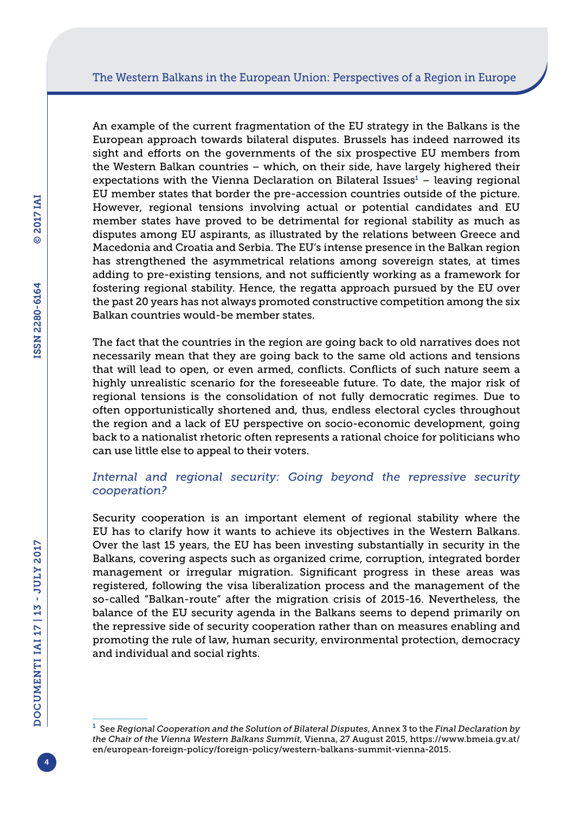An example of the current fragmentation of the EU strategy in the Balkans is the European approach towards bilateral disputes. Brussels has indeed narrowed its sight and efforts on the governments of the six prospective EU members from the Western Balkan countries – which, on their side, have largely highered their  $expectations$  with the Vienna Declaration on Bilateral Issues $<sup>1</sup>$  – leaving regional</sup> EU member states that border the pre-accession countries outside of the picture. However, regional tensions involving actual or potential candidates and EU member states have proved to be detrimental for regional stability as much as disputes among EU aspirants, as illustrated by the relations between Greece and Macedonia and Croatia and Serbia. The EU's intense presence in the Balkan region has strengthened the asymmetrical relations among sovereign states, at times adding to pre-existing tensions, and not sufficiently working as a framework for fostering regional stability. Hence, the regatta approach pursued by the EU over the past 20 years has not always promoted constructive competition among the six Balkan countries would-be member states.

The fact that the countries in the region are going back to old narratives does not necessarily mean that they are going back to the same old actions and tensions that will lead to open, or even armed, conflicts. Conflicts of such nature seem a highly unrealistic scenario for the foreseeable future. To date, the major risk of regional tensions is the consolidation of not fully democratic regimes. Due to often opportunistically shortened and, thus, endless electoral cycles throughout the region and a lack of EU perspective on socio-economic development, going back to a nationalist rhetoric often represents a rational choice for politicians who can use little else to appeal to their voters.

## *Internal and regional security: Going beyond the repressive security cooperation?*

Security cooperation is an important element of regional stability where the EU has to clarify how it wants to achieve its objectives in the Western Balkans. Over the last 15 years, the EU has been investing substantially in security in the Balkans, covering aspects such as organized crime, corruption, integrated border management or irregular migration. Significant progress in these areas was registered, following the visa liberalization process and the management of the so-called "Balkan-route" after the migration crisis of 2015-16. Nevertheless, the balance of the EU security agenda in the Balkans seems to depend primarily on the repressive side of security cooperation rather than on measures enabling and promoting the rule of law, human security, environmental protection, democracy and individual and social rights.

4

<sup>1</sup> See *Regional Cooperation and the Solution of Bilateral Disputes*, Annex 3 to the *Final Declaration by the Chair of the Vienna Western Balkans Summit*, Vienna, 27 August 2015, [https://www.bmeia.gv.at/](https://www.bmeia.gv.at/en/european-foreign-policy/foreign-policy/western-balkans-summit-vienna-2015) [en/european-foreign-policy/foreign-policy/western-balkans-summit-vienna-2015.](https://www.bmeia.gv.at/en/european-foreign-policy/foreign-policy/western-balkans-summit-vienna-2015)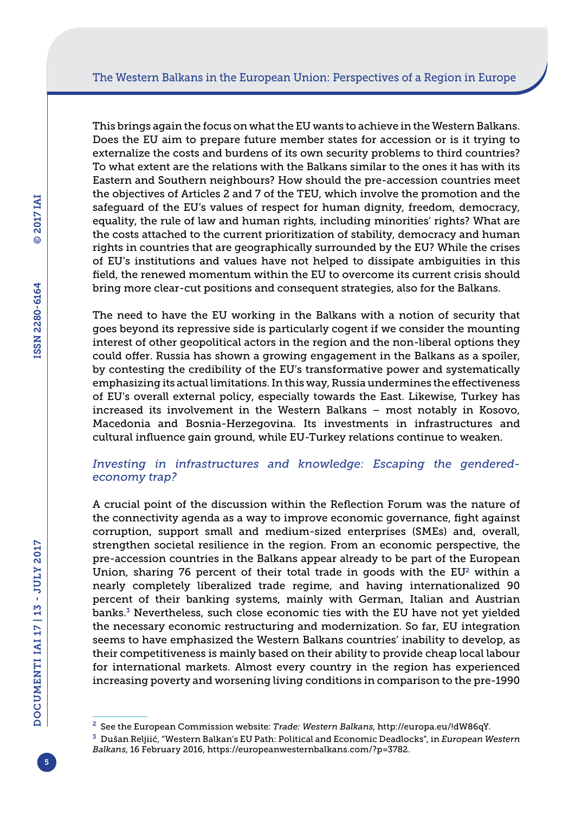This brings again the focus on what the EU wants to achieve in the Western Balkans. Does the EU aim to prepare future member states for accession or is it trying to externalize the costs and burdens of its own security problems to third countries? To what extent are the relations with the Balkans similar to the ones it has with its Eastern and Southern neighbours? How should the pre-accession countries meet the objectives of Articles 2 and 7 of the TEU, which involve the promotion and the safeguard of the EU's values of respect for human dignity, freedom, democracy, equality, the rule of law and human rights, including minorities' rights? What are the costs attached to the current prioritization of stability, democracy and human rights in countries that are geographically surrounded by the EU? While the crises of EU's institutions and values have not helped to dissipate ambiguities in this field, the renewed momentum within the EU to overcome its current crisis should bring more clear-cut positions and consequent strategies, also for the Balkans.

The need to have the EU working in the Balkans with a notion of security that goes beyond its repressive side is particularly cogent if we consider the mounting interest of other geopolitical actors in the region and the non-liberal options they could offer. Russia has shown a growing engagement in the Balkans as a spoiler, by contesting the credibility of the EU's transformative power and systematically emphasizing its actual limitations. In this way, Russia undermines the effectiveness of EU's overall external policy, especially towards the East. Likewise, Turkey has increased its involvement in the Western Balkans – most notably in Kosovo, Macedonia and Bosnia-Herzegovina. Its investments in infrastructures and cultural influence gain ground, while EU-Turkey relations continue to weaken.

## *Investing in infrastructures and knowledge: Escaping the genderedeconomy trap?*

A crucial point of the discussion within the Reflection Forum was the nature of the connectivity agenda as a way to improve economic governance, fight against corruption, support small and medium-sized enterprises (SMEs) and, overall, strengthen societal resilience in the region. From an economic perspective, the pre-accession countries in the Balkans appear already to be part of the European Union, sharing 76 percent of their total trade in goods with the  $EU^2$  within a nearly completely liberalized trade regime, and having internationalized 90 percent of their banking systems, mainly with German, Italian and Austrian banks.3 Nevertheless, such close economic ties with the EU have not yet yielded the necessary economic restructuring and modernization. So far, EU integration seems to have emphasized the Western Balkans countries' inability to develop, as their competitiveness is mainly based on their ability to provide cheap local labour for international markets. Almost every country in the region has experienced increasing poverty and worsening living conditions in comparison to the pre-1990

<sup>2</sup> See the European Commission website: *Trade: Western Balkans*, [http://europa.eu/!dW86qY.](http://europa.eu/!dW86qY)

<sup>3</sup> Dušan Reljiić, "Western Balkan's EU Path: Political and Economic Deadlocks", in *European Western Balkans*, 16 February 2016, [https://europeanwesternbalkans.com/?p=3782.](https://europeanwesternbalkans.com/?p=3782)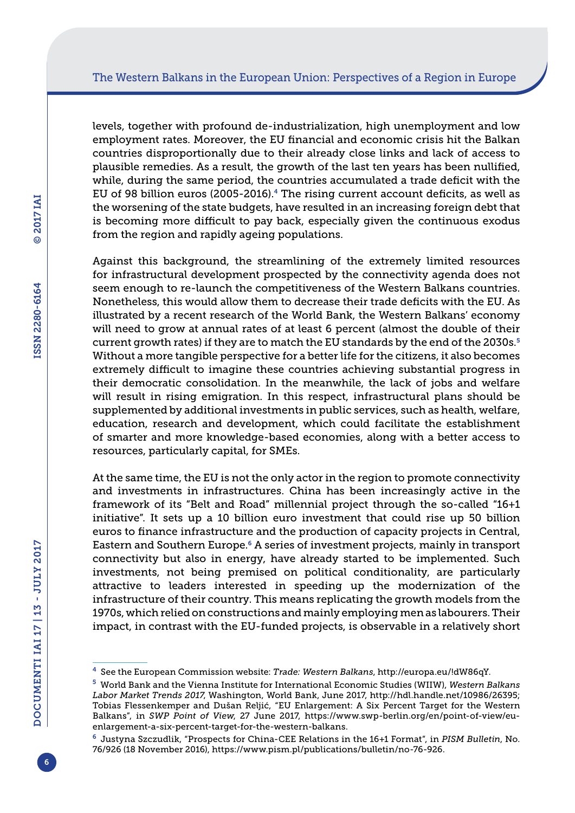levels, together with profound de-industrialization, high unemployment and low employment rates. Moreover, the EU financial and economic crisis hit the Balkan countries disproportionally due to their already close links and lack of access to plausible remedies. As a result, the growth of the last ten years has been nullified, while, during the same period, the countries accumulated a trade deficit with the EU of 98 billion euros (2005-2016).4 The rising current account deficits, as well as the worsening of the state budgets, have resulted in an increasing foreign debt that is becoming more difficult to pay back, especially given the continuous exodus from the region and rapidly ageing populations.

Against this background, the streamlining of the extremely limited resources for infrastructural development prospected by the connectivity agenda does not seem enough to re-launch the competitiveness of the Western Balkans countries. Nonetheless, this would allow them to decrease their trade deficits with the EU. As illustrated by a recent research of the World Bank, the Western Balkans' economy will need to grow at annual rates of at least 6 percent (almost the double of their current growth rates) if they are to match the EU standards by the end of the 2030s.<sup>5</sup> Without a more tangible perspective for a better life for the citizens, it also becomes extremely difficult to imagine these countries achieving substantial progress in their democratic consolidation. In the meanwhile, the lack of jobs and welfare will result in rising emigration. In this respect, infrastructural plans should be supplemented by additional investments in public services, such as health, welfare, education, research and development, which could facilitate the establishment of smarter and more knowledge-based economies, along with a better access to resources, particularly capital, for SMEs.

At the same time, the EU is not the only actor in the region to promote connectivity and investments in infrastructures. China has been increasingly active in the framework of its "Belt and Road" millennial project through the so-called "16+1 initiative". It sets up a 10 billion euro investment that could rise up 50 billion euros to finance infrastructure and the production of capacity projects in Central, Eastern and Southern Europe.6 A series of investment projects, mainly in transport connectivity but also in energy, have already started to be implemented. Such investments, not being premised on political conditionality, are particularly attractive to leaders interested in speeding up the modernization of the infrastructure of their country. This means replicating the growth models from the 1970s, which relied on constructions and mainly employing men as labourers. Their impact, in contrast with the EU-funded projects, is observable in a relatively short

<sup>4</sup> See the European Commission website: *Trade: Western Balkans*,<http://europa.eu/!dW86qY>.

<sup>5</sup> World Bank and the Vienna Institute for International Economic Studies (WIIW), *Western Balkans Labor Market Trends 2017*, Washington, World Bank, June 2017, [http://hdl.handle.net/10986/26395;](http://hdl.handle.net/10986/26395) Tobias Flessenkemper and Dušan Reljić, "EU Enlargement: A Six Percent Target for the Western Balkans", in *SWP Point of View*, 27 June 2017, [https://www.swp-berlin.org/en/point-of-view/eu](https://www.swp-berlin.org/en/point-of-view/eu-enlargement-a-six-percent-target-for-the-western-balkans)[enlargement-a-six-percent-target-for-the-western-balkans](https://www.swp-berlin.org/en/point-of-view/eu-enlargement-a-six-percent-target-for-the-western-balkans).

<sup>6</sup> Justyna Szczudlik, "Prospects for China-CEE Relations in the 16+1 Format", in *PISM Bulletin*, No. 76/926 (18 November 2016), <https://www.pism.pl/publications/bulletin/no-76-926>.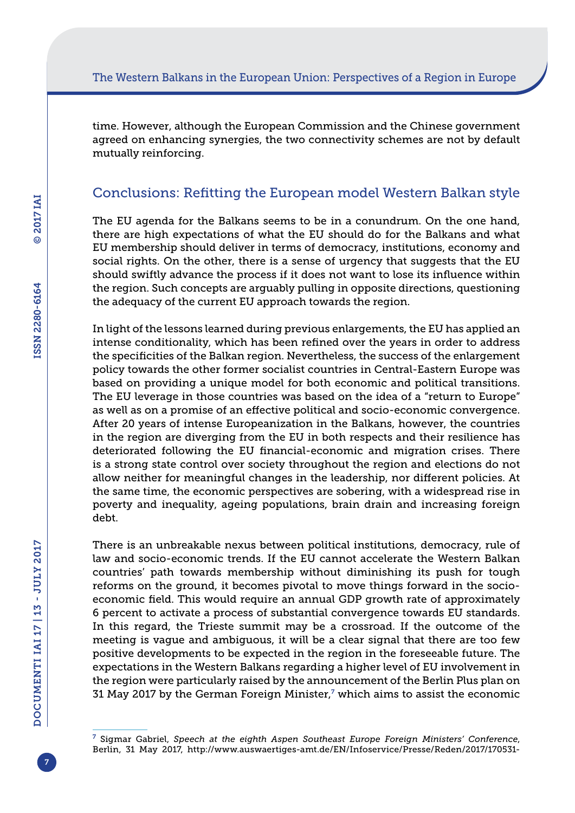time. However, although the European Commission and the Chinese government agreed on enhancing synergies, the two connectivity schemes are not by default mutually reinforcing.

## Conclusions: Refitting the European model Western Balkan style

The EU agenda for the Balkans seems to be in a conundrum. On the one hand, there are high expectations of what the EU should do for the Balkans and what EU membership should deliver in terms of democracy, institutions, economy and social rights. On the other, there is a sense of urgency that suggests that the EU should swiftly advance the process if it does not want to lose its influence within the region. Such concepts are arguably pulling in opposite directions, questioning the adequacy of the current EU approach towards the region.

In light of the lessons learned during previous enlargements, the EU has applied an intense conditionality, which has been refined over the years in order to address the specificities of the Balkan region. Nevertheless, the success of the enlargement policy towards the other former socialist countries in Central-Eastern Europe was based on providing a unique model for both economic and political transitions. The EU leverage in those countries was based on the idea of a "return to Europe" as well as on a promise of an effective political and socio-economic convergence. After 20 years of intense Europeanization in the Balkans, however, the countries in the region are diverging from the EU in both respects and their resilience has deteriorated following the EU financial-economic and migration crises. There is a strong state control over society throughout the region and elections do not allow neither for meaningful changes in the leadership, nor different policies. At the same time, the economic perspectives are sobering, with a widespread rise in poverty and inequality, ageing populations, brain drain and increasing foreign debt.

There is an unbreakable nexus between political institutions, democracy, rule of law and socio-economic trends. If the EU cannot accelerate the Western Balkan countries' path towards membership without diminishing its push for tough reforms on the ground, it becomes pivotal to move things forward in the socioeconomic field. This would require an annual GDP growth rate of approximately 6 percent to activate a process of substantial convergence towards EU standards. In this regard, the Trieste summit may be a crossroad. If the outcome of the meeting is vague and ambiguous, it will be a clear signal that there are too few positive developments to be expected in the region in the foreseeable future. The expectations in the Western Balkans regarding a higher level of EU involvement in the region were particularly raised by the announcement of the Berlin Plus plan on 31 May 2017 by the German Foreign Minister, $7$  which aims to assist the economic

7

<sup>7</sup> Sigmar Gabriel, *Speech at the eighth Aspen Southeast Europe Foreign Ministers' Conference*, Berlin, 31 May 2017, [http://www.auswaertiges-amt.de/EN/Infoservice/Presse/Reden/2017/170531-](http://www.auswaertiges-amt.de/EN/Infoservice/Presse/Reden/2017/170531-BM-Aspen.html?nn=479796.)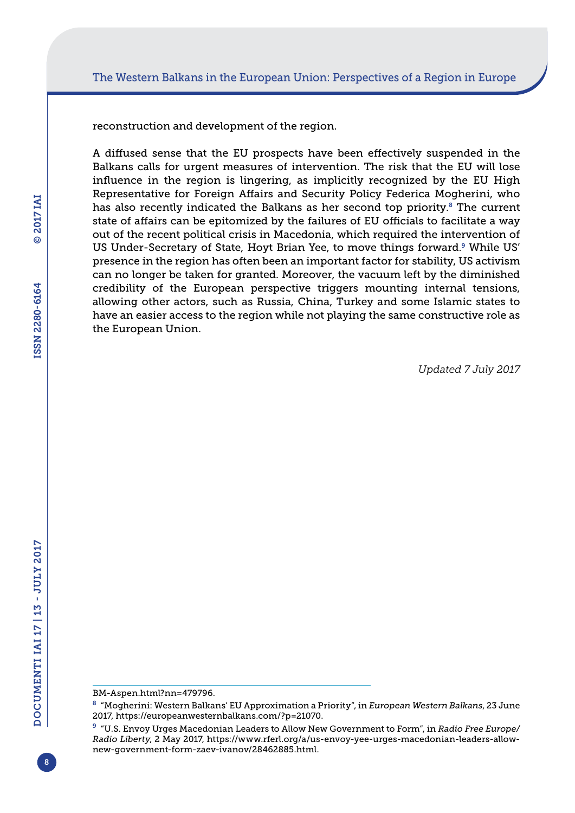reconstruction and development of the region.

A diffused sense that the EU prospects have been effectively suspended in the Balkans calls for urgent measures of intervention. The risk that the EU will lose influence in the region is lingering, as implicitly recognized by the EU High Representative for Foreign Affairs and Security Policy Federica Mogherini, who has also recently indicated the Balkans as her second top priority.<sup>8</sup> The current state of affairs can be epitomized by the failures of EU officials to facilitate a way out of the recent political crisis in Macedonia, which required the intervention of US Under-Secretary of State, Hoyt Brian Yee, to move things forward.<sup>9</sup> While US' presence in the region has often been an important factor for stability, US activism can no longer be taken for granted. Moreover, the vacuum left by the diminished credibility of the European perspective triggers mounting internal tensions, allowing other actors, such as Russia, China, Turkey and some Islamic states to have an easier access to the region while not playing the same constructive role as the European Union.

*Updated 7 July 2017*

[BM-Aspen.html?nn=479796.](http://www.auswaertiges-amt.de/EN/Infoservice/Presse/Reden/2017/170531-BM-Aspen.html?nn=479796.)

<sup>8</sup> "Mogherini: Western Balkans' EU Approximation a Priority", in *European Western Balkans*, 23 June 2017, [https://europeanwesternbalkans.com/?p=21070.](https://europeanwesternbalkans.com/?p=21070)

<sup>9</sup> "U.S. Envoy Urges Macedonian Leaders to Allow New Government to Form", in *Radio Free Europe/ Radio Liberty*, 2 May 2017, [https://www.rferl.org/a/us-envoy-yee-urges-macedonian-leaders-allow](https://www.rferl.org/a/us-envoy-yee-urges-macedonian-leaders-allow-new-government-form-zaev-ivanov/28462885.html)[new-government-form-zaev-ivanov/28462885.html](https://www.rferl.org/a/us-envoy-yee-urges-macedonian-leaders-allow-new-government-form-zaev-ivanov/28462885.html).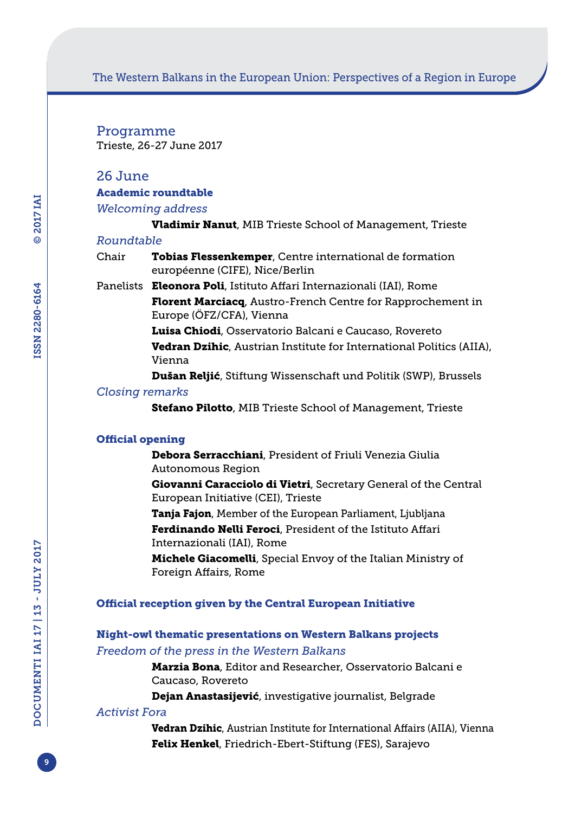## The Western Balkans in the European Union: Perspectives of a Region in Europe

Programme Trieste, 26-27 June 2017

## 26 June

## Academic roundtable

*Welcoming address*

Vladimir Nanut, MIB Trieste School of Management, Trieste

#### *Roundtable*

- Chair **Tobias Flessenkemper**, Centre international de formation européenne (CIFE), Nice/Berlin
- Panelists Eleonora Poli, Istituto Affari Internazionali (IAI), Rome Florent Marciacq, Austro-French Centre for Rapprochement in Europe (ÖFZ/CFA), Vienna
	- Luisa Chiodi, Osservatorio Balcani e Caucaso, Rovereto
	- **Vedran Dzihic**, Austrian Institute for International Politics (AIIA), Vienna
	- Dušan Reljić, Stiftung Wissenschaft und Politik (SWP), Brussels

#### *Closing remarks*

Stefano Pilotto, MIB Trieste School of Management, Trieste

## Official opening

Debora Serracchiani, President of Friuli Venezia Giulia Autonomous Region

Giovanni Caracciolo di Vietri, Secretary General of the Central European Initiative (CEI), Trieste

Tanja Fajon, Member of the European Parliament, Ljubljana Ferdinando Nelli Feroci, President of the Istituto Affari

Internazionali (IAI), Rome

Michele Giacomelli, Special Envoy of the Italian Ministry of Foreign Affairs, Rome

#### Official reception given by the Central European Initiative

## Night-owl thematic presentations on Western Balkans projects *Freedom of the press in the Western Balkans*

Marzia Bona, Editor and Researcher, Osservatorio Balcani e Caucaso, Rovereto

Dejan Anastasijević, investigative journalist, Belgrade

## *Activist Fora*

Vedran Dzihic, Austrian Institute for International Affairs (AIIA), Vienna Felix Henkel, Friedrich-Ebert-Stiftung (FES), Sarajevo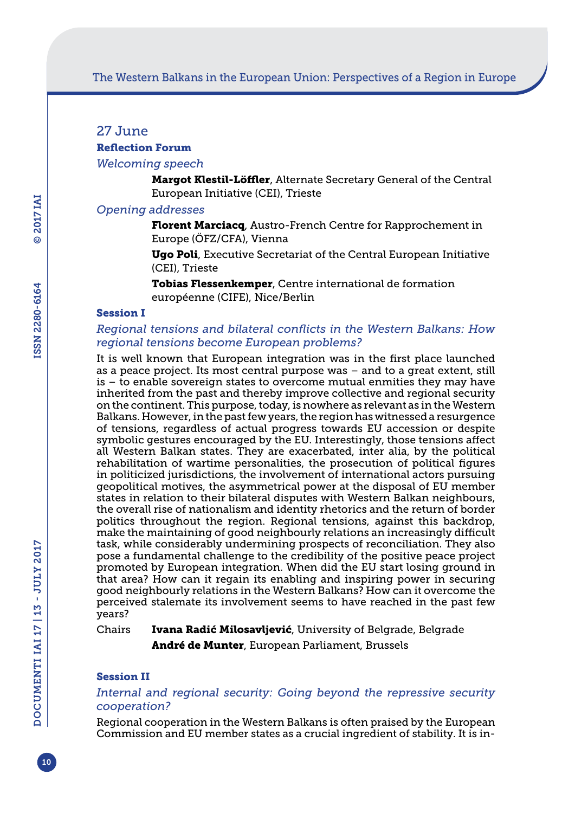## 27 June

## Reflection Forum

## *Welcoming speech*

Margot Klestil-Löffler, Alternate Secretary General of the Central European Initiative (CEI), Trieste

## *Opening addresses*

Florent Marciacq, Austro-French Centre for Rapprochement in Europe (ÖFZ/CFA), Vienna

Ugo Poli, Executive Secretariat of the Central European Initiative (CEI), Trieste

Tobias Flessenkemper, Centre international de formation européenne (CIFE), Nice/Berlin

## Session I

## *Regional tensions and bilateral conflicts in the Western Balkans: How regional tensions become European problems?*

It is well known that European integration was in the first place launched as a peace project. Its most central purpose was – and to a great extent, still is – to enable sovereign states to overcome mutual enmities they may have inherited from the past and thereby improve collective and regional security on the continent. This purpose, today, is nowhere as relevant as in the Western Balkans. However, in the past few years, the region has witnessed a resurgence of tensions, regardless of actual progress towards EU accession or despite symbolic gestures encouraged by the EU. Interestingly, those tensions affect all Western Balkan states. They are exacerbated, inter alia, by the political rehabilitation of wartime personalities, the prosecution of political figures in politicized jurisdictions, the involvement of international actors pursuing geopolitical motives, the asymmetrical power at the disposal of EU member states in relation to their bilateral disputes with Western Balkan neighbours, the overall rise of nationalism and identity rhetorics and the return of border politics throughout the region. Regional tensions, against this backdrop, make the maintaining of good neighbourly relations an increasingly difficult task, while considerably undermining prospects of reconciliation. They also pose a fundamental challenge to the credibility of the positive peace project promoted by European integration. When did the EU start losing ground in that area? How can it regain its enabling and inspiring power in securing good neighbourly relations in the Western Balkans? How can it overcome the perceived stalemate its involvement seems to have reached in the past few years?

Chairs Ivana Radić Milosavljević, University of Belgrade, Belgrade André de Munter, European Parliament, Brussels

## Session II

## *Internal and regional security: Going beyond the repressive security cooperation?*

Regional cooperation in the Western Balkans is often praised by the European Commission and EU member states as a crucial ingredient of stability. It is in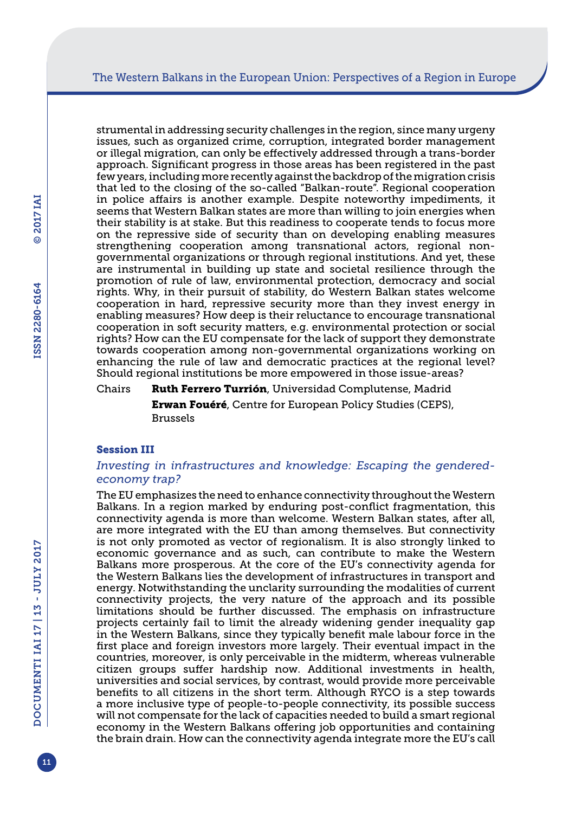strumental in addressing security challenges in the region, since many urgeny issues, such as organized crime, corruption, integrated border management or illegal migration, can only be effectively addressed through a trans-border approach. Significant progress in those areas has been registered in the past few years, including more recently against the backdrop of the migration crisis that led to the closing of the so-called "Balkan-route". Regional cooperation in police affairs is another example. Despite noteworthy impediments, it seems that Western Balkan states are more than willing to join energies when their stability is at stake. But this readiness to cooperate tends to focus more on the repressive side of security than on developing enabling measures strengthening cooperation among transnational actors, regional nongovernmental organizations or through regional institutions. And yet, these are instrumental in building up state and societal resilience through the promotion of rule of law, environmental protection, democracy and social rights. Why, in their pursuit of stability, do Western Balkan states welcome cooperation in hard, repressive security more than they invest energy in enabling measures? How deep is their reluctance to encourage transnational cooperation in soft security matters, e.g. environmental protection or social rights? How can the EU compensate for the lack of support they demonstrate towards cooperation among non-governmental organizations working on enhancing the rule of law and democratic practices at the regional level? Should regional institutions be more empowered in those issue-areas?

Chairs Ruth Ferrero Turrión, Universidad Complutense, Madrid Erwan Fouéré, Centre for European Policy Studies (CEPS), Brussels

#### Session III

## *Investing in infrastructures and knowledge: Escaping the genderedeconomy trap?*

The EU emphasizes the need to enhance connectivity throughout the Western Balkans. In a region marked by enduring post-conflict fragmentation, this connectivity agenda is more than welcome. Western Balkan states, after all, are more integrated with the EU than among themselves. But connectivity is not only promoted as vector of regionalism. It is also strongly linked to economic governance and as such, can contribute to make the Western Balkans more prosperous. At the core of the EU's connectivity agenda for the Western Balkans lies the development of infrastructures in transport and energy. Notwithstanding the unclarity surrounding the modalities of current connectivity projects, the very nature of the approach and its possible limitations should be further discussed. The emphasis on infrastructure projects certainly fail to limit the already widening gender inequality gap in the Western Balkans, since they typically benefit male labour force in the first place and foreign investors more largely. Their eventual impact in the countries, moreover, is only perceivable in the midterm, whereas vulnerable citizen groups suffer hardship now. Additional investments in health, universities and social services, by contrast, would provide more perceivable benefits to all citizens in the short term. Although RYCO is a step towards a more inclusive type of people-to-people connectivity, its possible success will not compensate for the lack of capacities needed to build a smart regional economy in the Western Balkans offering job opportunities and containing the brain drain. How can the connectivity agenda integrate more the EU's call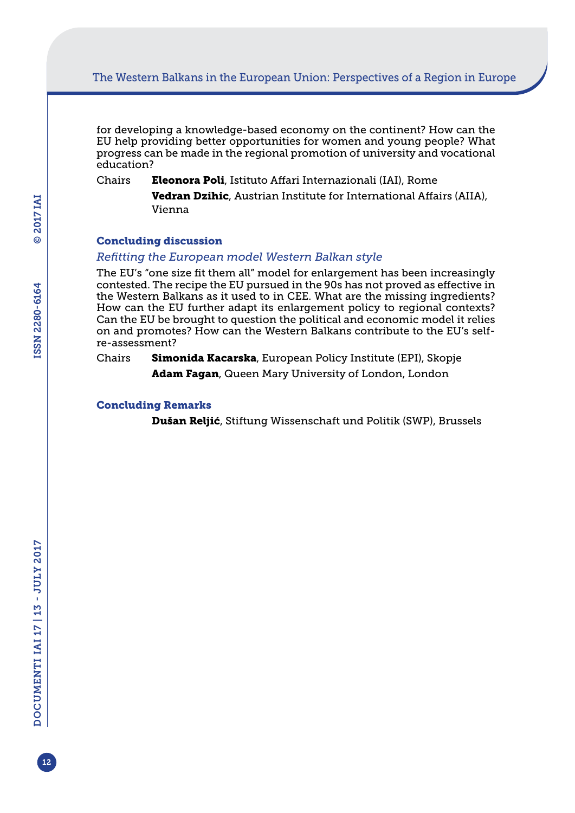## The Western Balkans in the European Union: Perspectives of a Region in Europe

for developing a knowledge-based economy on the continent? How can the EU help providing better opportunities for women and young people? What progress can be made in the regional promotion of university and vocational education?

Chairs Eleonora Poli, Istituto Affari Internazionali (IAI), Rome

Vedran Dzihic, Austrian Institute for International Affairs (AIIA), Vienna

#### Concluding discussion

#### *Refitting the European model Western Balkan style*

The EU's "one size fit them all" model for enlargement has been increasingly contested. The recipe the EU pursued in the 90s has not proved as effective in the Western Balkans as it used to in CEE. What are the missing ingredients? How can the EU further adapt its enlargement policy to regional contexts? Can the EU be brought to question the political and economic model it relies on and promotes? How can the Western Balkans contribute to the EU's selfre-assessment?

Chairs **Simonida Kacarska**, European Policy Institute (EPI), Skopje Adam Fagan, Queen Mary University of London, London

#### Concluding Remarks

Dušan Reljić, Stiftung Wissenschaft und Politik (SWP), Brussels

12